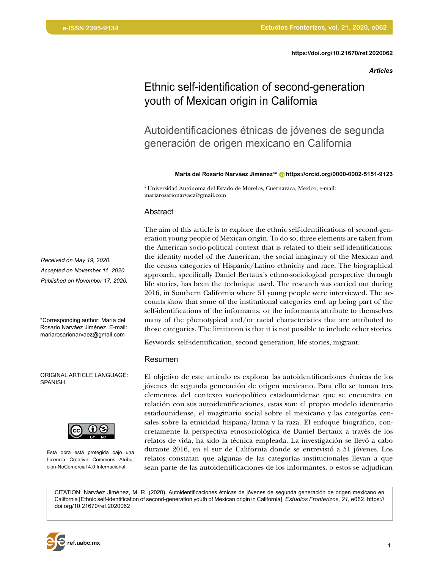*Articles*

# Ethnic self-identification of second-generation youth of Mexican origin in California

Autoidentificaciones étnicas de jóvenes de segunda generación de origen mexicano en California

**María del Rosario Narváez Jiméneza\* [https://orcid.org/0000-0002-5151-9123](https://orcid.org/0000-0002-5151-9123    )**

a Universidad Autónoma del Estado de Morelos, Cuernavaca, Mexico, e-mail: mariarosarionarvaez@gmail.com

#### Abstract

The aim of this article is to explore the ethnic self-identifications of second-generation young people of Mexican origin. To do so, three elements are taken from the American socio-political context that is related to their self-identifications: the identity model of the American, the social imaginary of the Mexican and the census categories of Hispanic/Latino ethnicity and race. The biographical approach, specifically Daniel Bertaux's ethno-sociological perspective through life stories, has been the technique used. The research was carried out during 2016, in Southern California where 51 young people were interviewed. The accounts show that some of the institutional categories end up being part of the self-identifications of the informants, or the informants attribute to themselves many of the phenotypical and/or racial characteristics that are attributed to those categories. The limitation is that it is not possible to include other stories.

Keywords: self-identification, second generation, life stories, migrant.

#### Resumen

El objetivo de este artículo es explorar las autoidentificaciones étnicas de los jóvenes de segunda generación de origen mexicano. Para ello se toman tres elementos del contexto sociopolítico estadounidense que se encuentra en relación con sus autoidentificaciones, estas son: el propio modelo identitario estadounidense, el imaginario social sobre el mexicano y las categorías censales sobre la etnicidad hispana/latina y la raza. El enfoque biográfico, concretamente la perspectiva etnosociológica de Daniel Bertaux a través de los relatos de vida, ha sido la técnica empleada. La investigación se llevó a cabo durante 2016, en el sur de California donde se entrevistó a 51 jóvenes. Los relatos constatan que algunas de las categorías institucionales llevan a que sean parte de las autoidentificaciones de los informantes, o estos se adjudican

CITATION: Narváez Jiménez, M. R. (2020). Autoidentificaciones étnicas de jóvenes de segunda generación de origen mexicano en California [Ethnic self-identification of second-generation youth of Mexican origin in California]. *Estudios Fronterizos, 21*, e062. [https://](https://doi.org/10.21670/ref.2020062 ) [doi.org/10.21670/ref.2020062](https://doi.org/10.21670/ref.2020062 )



\*Corresponding author: María del Rosario Narváez Jiménez. E-mail: mariarosarionarvaez@gmail.com

ORIGINAL ARTICLE LANGUAGE: SPANISH.



Esta obra está protegida bajo una Licencia Creative Commons Atribución-NoComercial 4.0 Internacional.

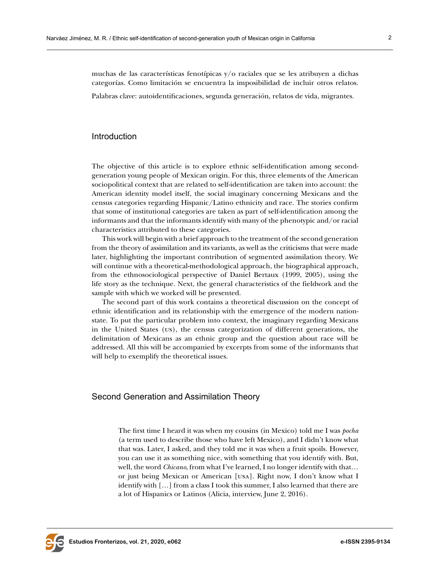muchas de las características fenotípicas y/o raciales que se les atribuyen a dichas categorías. Como limitación se encuentra la imposibilidad de incluir otros relatos.

Palabras clave: autoidentificaciones, segunda generación, relatos de vida, migrantes.

#### Introduction

The objective of this article is to explore ethnic self-identification among secondgeneration young people of Mexican origin. For this, three elements of the American sociopolitical context that are related to self-identification are taken into account: the American identity model itself, the social imaginary concerning Mexicans and the census categories regarding Hispanic/Latino ethnicity and race. The stories confirm that some of institutional categories are taken as part of self-identification among the informants and that the informants identify with many of the phenotypic and/or racial characteristics attributed to these categories.

This work will begin with a brief approach to the treatment of the second generation from the theory of assimilation and its variants, as well as the criticisms that were made later, highlighting the important contribution of segmented assimilation theory. We will continue with a theoretical-methodological approach, the biographical approach, from the ethnosociological perspective of Daniel Bertaux (1999, 2005), using the life story as the technique. Next, the general characteristics of the fieldwork and the sample with which we worked will be presented.

The second part of this work contains a theoretical discussion on the concept of ethnic identification and its relationship with the emergence of the modern nationstate. To put the particular problem into context, the imaginary regarding Mexicans in the United States (us), the census categorization of different generations, the delimitation of Mexicans as an ethnic group and the question about race will be addressed. All this will be accompanied by excerpts from some of the informants that will help to exemplify the theoretical issues.

#### Second Generation and Assimilation Theory

The first time I heard it was when my cousins (in Mexico) told me I was *pocha* (a term used to describe those who have left Mexico), and I didn't know what that was. Later, I asked, and they told me it was when a fruit spoils. However, you can use it as something nice, with something that you identify with. But, well, the word *Chicano*, from what I've learned, I no longer identify with that… or just being Mexican or American [usa]. Right now, I don't know what I identify with […] from a class I took this summer, I also learned that there are a lot of Hispanics or Latinos (Alicia, interview, June 2, 2016).

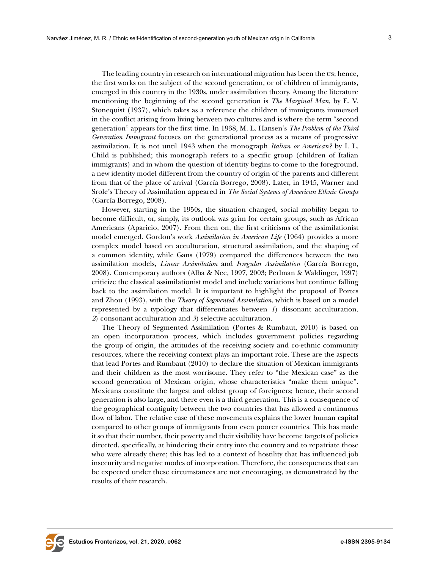The leading country in research on international migration has been the us; hence, the first works on the subject of the second generation, or of children of immigrants, emerged in this country in the 1930s, under assimilation theory. Among the literature mentioning the beginning of the second generation is *The Marginal Man*, by E. V. Stonequist (1937), which takes as a reference the children of immigrants immersed in the conflict arising from living between two cultures and is where the term "second generation" appears for the first time. In 1938, M*.* L. Hansen's *The Problem of the Third Generation Immigrant* focuses on the generational process as a means of progressive assimilation. It is not until 1943 when the monograph *Italian or American?* by I. L. Child is published; this monograph refers to a specific group (children of Italian immigrants) and in whom the question of identity begins to come to the foreground, a new identity model different from the country of origin of the parents and different from that of the place of arrival (García Borrego, 2008). Later, in 1945, Warner and Srole's Theory of Assimilation appeared in *The Social Systems of American Ethnic Groups* (García Borrego, 2008).

However, starting in the 1950s, the situation changed, social mobility began to become difficult, or, simply, its outlook was grim for certain groups, such as African Americans (Aparicio, 2007). From then on, the first criticisms of the assimilationist model emerged. Gordon's work *Assimilation in American Life* (1964) provides a more complex model based on acculturation, structural assimilation, and the shaping of a common identity, while Gans (1979) compared the differences between the two assimilation models, *Linear Assimilation* and *Irregular Assimilation* (García Borrego, 2008). Contemporary authors (Alba & Nee, 1997, 2003; Perlman & Waldinger, 1997) criticize the classical assimilationist model and include variations but continue falling back to the assimilation model. It is important to highlight the proposal of Portes and Zhou (1993), with the *Theory of Segmented Assimilation*, which is based on a model represented by a typology that differentiates between *1*) dissonant acculturation, *2*) consonant acculturation and *3*) selective acculturation.

The Theory of Segmented Assimilation (Portes & Rumbaut, 2010) is based on an open incorporation process, which includes government policies regarding the group of origin, the attitudes of the receiving society and co-ethnic community resources, where the receiving context plays an important role. These are the aspects that lead Portes and Rumbaut (2010) to declare the situation of Mexican immigrants and their children as the most worrisome. They refer to "the Mexican case" as the second generation of Mexican origin, whose characteristics "make them unique". Mexicans constitute the largest and oldest group of foreigners; hence, their second generation is also large, and there even is a third generation. This is a consequence of the geographical contiguity between the two countries that has allowed a continuous flow of labor. The relative ease of these movements explains the lower human capital compared to other groups of immigrants from even poorer countries. This has made it so that their number, their poverty and their visibility have become targets of policies directed, specifically, at hindering their entry into the country and to repatriate those who were already there; this has led to a context of hostility that has influenced job insecurity and negative modes of incorporation. Therefore, the consequences that can be expected under these circumstances are not encouraging, as demonstrated by the results of their research.

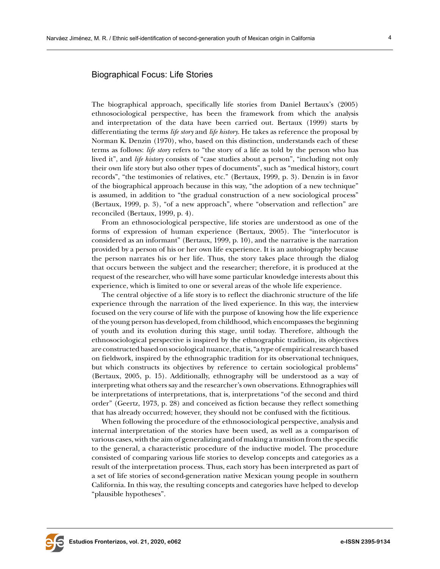## Biographical Focus: Life Stories

The biographical approach, specifically life stories from Daniel Bertaux's (2005) ethnosociological perspective, has been the framework from which the analysis and interpretation of the data have been carried out. Bertaux (1999) starts by differentiating the terms *life story* and *life history*. He takes as reference the proposal by Norman K. Denzin (1970), who, based on this distinction, understands each of these terms as follows: *life story* refers to "the story of a life as told by the person who has lived it", and *life history* consists of "case studies about a person", "including not only their own life story but also other types of documents", such as "medical history, court records", "the testimonies of relatives, etc." (Bertaux, 1999, p. 3). Denzin is in favor of the biographical approach because in this way, "the adoption of a new technique" is assumed, in addition to "the gradual construction of a new sociological process" (Bertaux, 1999, p. 3), "of a new approach", where "observation and reflection" are reconciled (Bertaux, 1999, p. 4).

From an ethnosociological perspective, life stories are understood as one of the forms of expression of human experience (Bertaux, 2005). The "interlocutor is considered as an informant" (Bertaux, 1999, p. 10), and the narrative is the narration provided by a person of his or her own life experience. It is an autobiography because the person narrates his or her life. Thus, the story takes place through the dialog that occurs between the subject and the researcher; therefore, it is produced at the request of the researcher, who will have some particular knowledge interests about this experience, which is limited to one or several areas of the whole life experience.

The central objective of a life story is to reflect the diachronic structure of the life experience through the narration of the lived experience. In this way, the interview focused on the very course of life with the purpose of knowing how the life experience of the young person has developed, from childhood, which encompasses the beginning of youth and its evolution during this stage, until today. Therefore, although the ethnosociological perspective is inspired by the ethnographic tradition, its objectives are constructed based on sociological nuance, that is, "a type of empirical research based on fieldwork, inspired by the ethnographic tradition for its observational techniques, but which constructs its objectives by reference to certain sociological problems" (Bertaux, 2005, p. 15). Additionally, ethnography will be understood as a way of interpreting what others say and the researcher's own observations. Ethnographies will be interpretations of interpretations, that is, interpretations "of the second and third order" (Geertz, 1973, p. 28) and conceived as fiction because they reflect something that has already occurred; however, they should not be confused with the fictitious.

When following the procedure of the ethnosociological perspective, analysis and internal interpretation of the stories have been used, as well as a comparison of various cases, with the aim of generalizing and of making a transition from the specific to the general, a characteristic procedure of the inductive model. The procedure consisted of comparing various life stories to develop concepts and categories as a result of the interpretation process. Thus, each story has been interpreted as part of a set of life stories of second-generation native Mexican young people in southern California. In this way, the resulting concepts and categories have helped to develop "plausible hypotheses".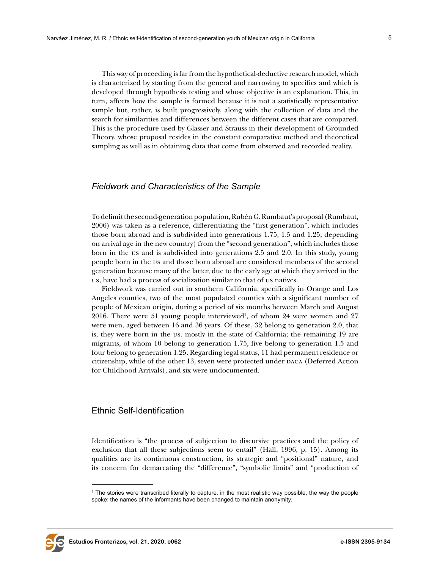This way of proceeding is far from the hypothetical-deductive research model, which is characterized by starting from the general and narrowing to specifics and which is developed through hypothesis testing and whose objective is an explanation. This, in turn, affects how the sample is formed because it is not a statistically representative sample but, rather, is built progressively, along with the collection of data and the search for similarities and differences between the different cases that are compared. This is the procedure used by Glasser and Strauss in their development of Grounded Theory, whose proposal resides in the constant comparative method and theoretical sampling as well as in obtaining data that come from observed and recorded reality.

#### *Fieldwork and Characteristics of the Sample*

To delimit the second-generation population, Rubén G. Rumbaut's proposal (Rumbaut, 2006) was taken as a reference, differentiating the "first generation", which includes those born abroad and is subdivided into generations 1.75, 1.5 and 1.25, depending on arrival age in the new country) from the "second generation", which includes those born in the us and is subdivided into generations 2.5 and 2.0. In this study, young people born in the us and those born abroad are considered members of the second generation because many of the latter, due to the early age at which they arrived in the us, have had a process of socialization similar to that of us natives.

Fieldwork was carried out in southern California, specifically in Orange and Los Angeles counties, two of the most populated counties with a significant number of people of Mexican origin, during a period of six months between March and August  $2016$ . There were 51 young people interviewed<sup>1</sup>, of whom 24 were women and 27 were men, aged between 16 and 36 years. Of these, 32 belong to generation 2.0, that is, they were born in the us, mostly in the state of California; the remaining 19 are migrants, of whom 10 belong to generation 1.75, five belong to generation 1.5 and four belong to generation 1.25. Regarding legal status, 11 had permanent residence or citizenship, while of the other 13, seven were protected under DACA (Deferred Action for Childhood Arrivals), and six were undocumented.

#### Ethnic Self-Identification

Identification is "the process of subjection to discursive practices and the policy of exclusion that all these subjections seem to entail" (Hall, 1996, p. 15). Among its qualities are its continuous construction, its strategic and "positional" nature, and its concern for demarcating the "difference", "symbolic limits" and "production of



<sup>1</sup> The stories were transcribed literally to capture, in the most realistic way possible, the way the people spoke; the names of the informants have been changed to maintain anonymity.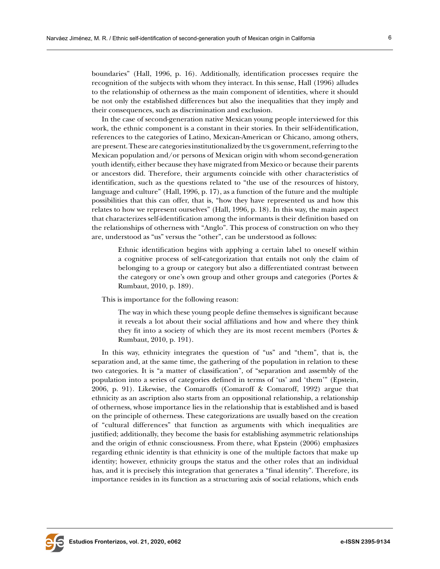boundaries" (Hall, 1996, p. 16). Additionally, identification processes require the recognition of the subjects with whom they interact. In this sense, Hall (1996) alludes to the relationship of otherness as the main component of identities, where it should be not only the established differences but also the inequalities that they imply and their consequences, such as discrimination and exclusion.

In the case of second-generation native Mexican young people interviewed for this work, the ethnic component is a constant in their stories. In their self-identification, references to the categories of Latino, Mexican-American or Chicano, among others, are present. These are categories institutionalized by the us government, referring to the Mexican population and/or persons of Mexican origin with whom second-generation youth identify, either because they have migrated from Mexico or because their parents or ancestors did. Therefore, their arguments coincide with other characteristics of identification, such as the questions related to "the use of the resources of history, language and culture" (Hall, 1996, p. 17), as a function of the future and the multiple possibilities that this can offer, that is, "how they have represented us and how this relates to how we represent ourselves" (Hall, 1996, p. 18). In this way, the main aspect that characterizes self-identification among the informants is their definition based on the relationships of otherness with "Anglo". This process of construction on who they are, understood as "us" versus the "other", can be understood as follows:

Ethnic identification begins with applying a certain label to oneself within a cognitive process of self-categorization that entails not only the claim of belonging to a group or category but also a differentiated contrast between the category or one's own group and other groups and categories (Portes & Rumbaut, 2010, p. 189).

This is importance for the following reason:

The way in which these young people define themselves is significant because it reveals a lot about their social affiliations and how and where they think they fit into a society of which they are its most recent members (Portes & Rumbaut, 2010, p. 191).

In this way, ethnicity integrates the question of "us" and "them", that is, the separation and, at the same time, the gathering of the population in relation to these two categories. It is "a matter of classification", of "separation and assembly of the population into a series of categories defined in terms of 'us' and 'them'" (Epstein, 2006, p. 91). Likewise, the Comaroffs (Comaroff & Comaroff, 1992) argue that ethnicity as an ascription also starts from an oppositional relationship, a relationship of otherness, whose importance lies in the relationship that is established and is based on the principle of otherness. These categorizations are usually based on the creation of "cultural differences" that function as arguments with which inequalities are justified; additionally, they become the basis for establishing asymmetric relationships and the origin of ethnic consciousness. From there, what Epstein (2006) emphasizes regarding ethnic identity is that ethnicity is one of the multiple factors that make up identity; however, ethnicity groups the status and the other roles that an individual has, and it is precisely this integration that generates a "final identity". Therefore, its importance resides in its function as a structuring axis of social relations, which ends

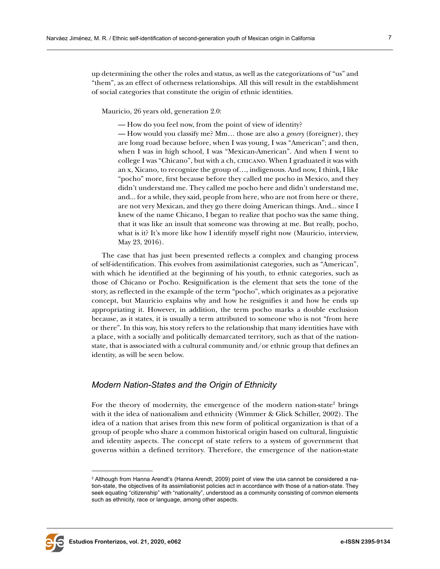up determining the other the roles and status, as well as the categorizations of "us" and "them", as an effect of otherness relationships. All this will result in the establishment of social categories that constitute the origin of ethnic identities.

Mauricio, 26 years old, generation 2.0:

— How do you feel now, from the point of view of identity?

— How would you classify me? Mm… those are also a *genery* (foreigner), they are long road because before, when I was young, I was "American"; and then, when I was in high school, I was "Mexican-American". And when I went to college I was "Chicano", but with a ch, chicano. When I graduated it was with an x, Xicano, to recognize the group of…, indigenous. And now, I think, I like "pocho" more, first because before they called me pocho in Mexico, and they didn't understand me. They called me pocho here and didn't understand me, and... for a while, they said, people from here, who are not from here or there, are not very Mexican, and they go there doing American things. And... since I knew of the name Chicano, I began to realize that pocho was the same thing, that it was like an insult that someone was throwing at me. But really, pocho, what is it? It's more like how I identify myself right now (Mauricio, interview, May 23, 2016).

The case that has just been presented reflects a complex and changing process of self-identification. This evolves from assimilationist categories, such as "American", with which he identified at the beginning of his youth, to ethnic categories, such as those of Chicano or Pocho. Resignification is the element that sets the tone of the story, as reflected in the example of the term "pocho", which originates as a pejorative concept, but Mauricio explains why and how he resignifies it and how he ends up appropriating it. However, in addition, the term pocho marks a double exclusion because, as it states, it is usually a term attributed to someone who is not "from here or there". In this way, his story refers to the relationship that many identities have with a place, with a socially and politically demarcated territory, such as that of the nationstate, that is associated with a cultural community and/or ethnic group that defines an identity, as will be seen below.

#### *Modern Nation-States and the Origin of Ethnicity*

For the theory of modernity, the emergence of the modern nation-state<sup>2</sup> brings with it the idea of nationalism and ethnicity (Wimmer & Glick Schiller, 2002). The idea of a nation that arises from this new form of political organization is that of a group of people who share a common historical origin based on cultural, linguistic and identity aspects. The concept of state refers to a system of government that governs within a defined territory. Therefore, the emergence of the nation-state



<sup>2</sup> Although from Hanna Arendt's (Hanna Arendt, 2009) point of view the usa cannot be considered a nation-state, the objectives of its assimilationist policies act in accordance with those of a nation-state. They seek equating "citizenship" with "nationality", understood as a community consisting of common elements such as ethnicity, race or language, among other aspects.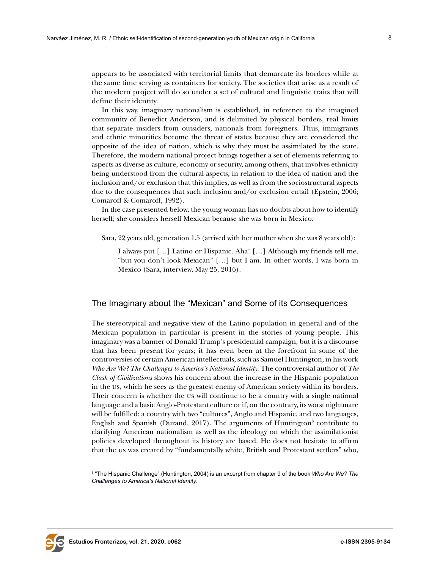appears to be associated with territorial limits that demarcate its borders while at the same time serving as containers for society. The societies that arise as a result of the modern project will do so under a set of cultural and linguistic traits that will define their identity.

In this way, imaginary nationalism is established, in reference to the imagined community of Benedict Anderson, and is delimited by physical borders, real limits that separate insiders from outsiders, nationals from foreigners. Thus, immigrants and ethnic minorities become the threat of states because they are considered the opposite of the idea of nation, which is why they must be assimilated by the state. Therefore, the modern national project brings together a set of elements referring to aspects as diverse as culture, economy or security, among others, that involves ethnicity being understood from the cultural aspects, in relation to the idea of nation and the inclusion and/or exclusion that this implies, as well as from the sociostructural aspects due to the consequences that such inclusion and/or exclusion entail (Epstein, 2006; Comaroff & Comaroff, 1992).

In the case presented below, the young woman has no doubts about how to identify herself; she considers herself Mexican because she was born in Mexico.

Sara, 22 years old, generation 1.5 (arrived with her mother when she was 8 years old):

I always put […] Latino or Hispanic. Aha! […] Although my friends tell me, "but you don't look Mexican" […] but I am. In other words, I was born in Mexico (Sara, interview, May 25, 2016).

## The Imaginary about the "Mexican" and Some of its Consequences

The stereotypical and negative view of the Latino population in general and of the Mexican population in particular is present in the stories of young people. This imaginary was a banner of Donald Trump's presidential campaign, but it is a discourse that has been present for years; it has even been at the forefront in some of the controversies of certain American intellectuals, such as Samuel Huntington, in his work *Who Are We? The Challenges to America's National Identity.* The controversial author of *The Clash of Civilizations* shows his concern about the increase in the Hispanic population in the us, which he sees as the greatest enemy of American society within its borders. Their concern is whether the us will continue to be a country with a single national language and a basic Anglo-Protestant culture or if, on the contrary, its worst nightmare will be fulfilled: a country with two "cultures", Anglo and Hispanic, and two languages, English and Spanish (Durand, 2017). The arguments of Huntington<sup>3</sup> contribute to clarifying American nationalism as well as the ideology on which the assimilationist policies developed throughout its history are based. He does not hesitate to affirm that the us was created by "fundamentally white, British and Protestant settlers" who,



<sup>3</sup> "The Hispanic Challenge" (Huntington, 2004) is an excerpt from chapter 9 of the book *Who Are We? The Challenges to America's National Identity.*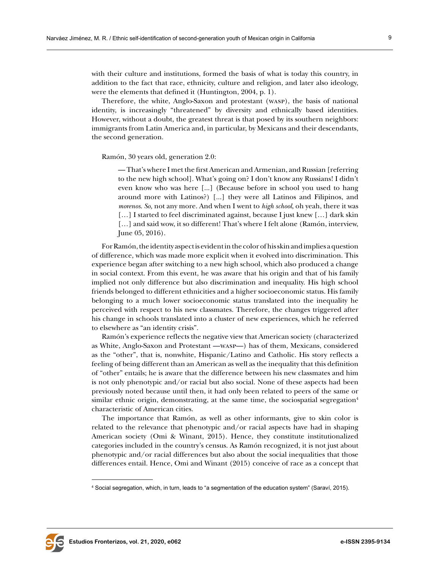with their culture and institutions, formed the basis of what is today this country, in addition to the fact that race, ethnicity, culture and religion, and later also ideology, were the elements that defined it (Huntington, 2004, p. 1).

Therefore, the white, Anglo-Saxon and protestant (wasp), the basis of national identity, is increasingly "threatened" by diversity and ethnically based identities. However, without a doubt, the greatest threat is that posed by its southern neighbors: immigrants from Latin America and, in particular, by Mexicans and their descendants, the second generation.

Ramón, 30 years old, generation 2.0:

— That's where I met the first American and Armenian, and Russian [referring to the new high school]. What's going on? I don't know any Russians! I didn't even know who was here [...] (Because before in school you used to hang around more with Latinos?) [...] they were all Latinos and Filipinos, and *morenos*. *So,* not any more. And when I went to *high school*, oh yeah, there it was [...] I started to feel discriminated against, because I just knew [...] dark skin [...] and said wow, it so different! That's where I felt alone (Ramón, interview, June 05, 2016).

For Ramón, the identity aspect is evident in the color of his skin and implies a question of difference, which was made more explicit when it evolved into discrimination. This experience began after switching to a new high school, which also produced a change in social context. From this event, he was aware that his origin and that of his family implied not only difference but also discrimination and inequality. His high school friends belonged to different ethnicities and a higher socioeconomic status. His family belonging to a much lower socioeconomic status translated into the inequality he perceived with respect to his new classmates. Therefore, the changes triggered after his change in schools translated into a cluster of new experiences, which he referred to elsewhere as "an identity crisis".

Ramón's experience reflects the negative view that American society (characterized as White, Anglo-Saxon and Protestant —wasp—) has of them, Mexicans, considered as the "other", that is, nonwhite, Hispanic/Latino and Catholic. His story reflects a feeling of being different than an American as well as the inequality that this definition of "other" entails; he is aware that the difference between his new classmates and him is not only phenotypic and/or racial but also social. None of these aspects had been previously noted because until then, it had only been related to peers of the same or similar ethnic origin, demonstrating, at the same time, the sociospatial segregation<sup>4</sup> characteristic of American cities.

The importance that Ramón, as well as other informants, give to skin color is related to the relevance that phenotypic and/or racial aspects have had in shaping American society (Omi & Winant, 2015). Hence, they constitute institutionalized categories included in the country's census. As Ramón recognized, it is not just about phenotypic and/or racial differences but also about the social inequalities that those differences entail. Hence, Omi and Winant (2015) conceive of race as a concept that



<sup>4</sup> Social segregation, which, in turn, leads to "a segmentation of the education system" (Saraví, 2015).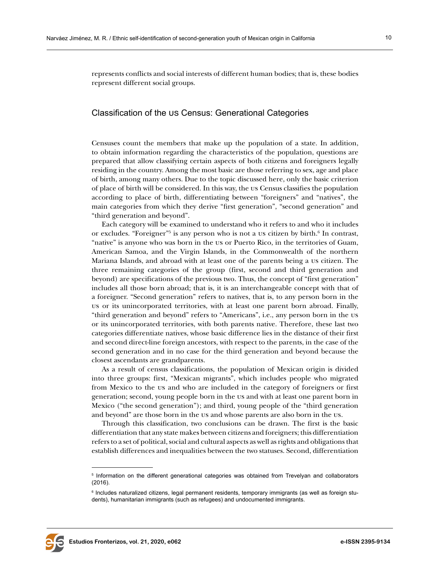represents conflicts and social interests of different human bodies; that is, these bodies represent different social groups.

### Classification of the us Census: Generational Categories

Censuses count the members that make up the population of a state. In addition, to obtain information regarding the characteristics of the population, questions are prepared that allow classifying certain aspects of both citizens and foreigners legally residing in the country. Among the most basic are those referring to sex, age and place of birth, among many others. Due to the topic discussed here, only the basic criterion of place of birth will be considered. In this way, the us Census classifies the population according to place of birth, differentiating between "foreigners" and "natives", the main categories from which they derive "first generation", "second generation" and "third generation and beyond".

Each category will be examined to understand who it refers to and who it includes or excludes. "Foreigner"<sup>5</sup> is any person who is not a us citizen by birth.<sup>6</sup> In contrast, "native" is anyone who was born in the us or Puerto Rico, in the territories of Guam, American Samoa, and the Virgin Islands, in the Commonwealth of the northern Mariana Islands, and abroad with at least one of the parents being a us citizen. The three remaining categories of the group (first, second and third generation and beyond) are specifications of the previous two. Thus, the concept of "first generation" includes all those born abroad; that is, it is an interchangeable concept with that of a foreigner. "Second generation" refers to natives, that is, to any person born in the us or its unincorporated territories, with at least one parent born abroad. Finally, "third generation and beyond" refers to "Americans", i.e., any person born in the us or its unincorporated territories, with both parents native. Therefore, these last two categories differentiate natives, whose basic difference lies in the distance of their first and second direct-line foreign ancestors, with respect to the parents, in the case of the second generation and in no case for the third generation and beyond because the closest ascendants are grandparents.

As a result of census classifications, the population of Mexican origin is divided into three groups: first, "Mexican migrants", which includes people who migrated from Mexico to the us and who are included in the category of foreigners or first generation; second, young people born in the us and with at least one parent born in Mexico ("the second generation"); and third, young people of the "third generation and beyond" are those born in the us and whose parents are also born in the us.

Through this classification, two conclusions can be drawn. The first is the basic differentiation that any state makes between citizens and foreigners; this differentiation refers to a set of political, social and cultural aspects as well as rights and obligations that establish differences and inequalities between the two statuses. Second, differentiation



<sup>5</sup> Information on the different generational categories was obtained from Trevelyan and collaborators (2016).

 $^{\rm 6}$  Includes naturalized citizens, legal permanent residents, temporary immigrants (as well as foreign students), humanitarian immigrants (such as refugees) and undocumented immigrants.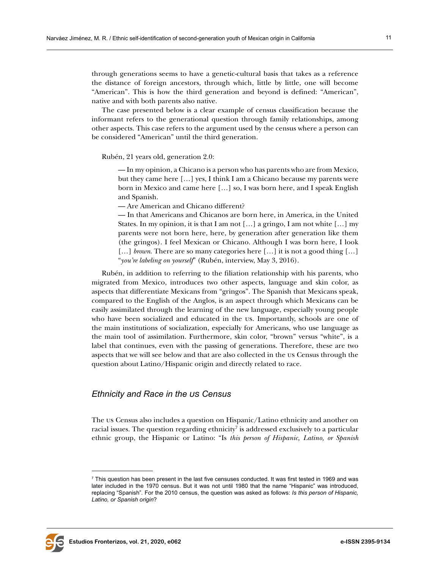through generations seems to have a genetic-cultural basis that takes as a reference the distance of foreign ancestors, through which, little by little, one will become "American". This is how the third generation and beyond is defined: "American", native and with both parents also native.

The case presented below is a clear example of census classification because the informant refers to the generational question through family relationships, among other aspects. This case refers to the argument used by the census where a person can be considered "American" until the third generation.

Rubén, 21 years old, generation 2.0:

— In my opinion, a Chicano is a person who has parents who are from Mexico, but they came here […] yes, I think I am a Chicano because my parents were born in Mexico and came here […] so, I was born here, and I speak English and Spanish.

— Are American and Chicano different?

— In that Americans and Chicanos are born here, in America, in the United States. In my opinion, it is that I am not […] a gringo, I am not white […] my parents were not born here, here, by generation after generation like them (the gringos). I feel Mexican or Chicano. Although I was born here, I look […] *brown*. There are so many categories here […] it is not a good thing […] "*you're labeling on yourself*" (Rubén, interview, May 3, 2016).

Rubén, in addition to referring to the filiation relationship with his parents, who migrated from Mexico, introduces two other aspects, language and skin color, as aspects that differentiate Mexicans from "gringos". The Spanish that Mexicans speak, compared to the English of the Anglos, is an aspect through which Mexicans can be easily assimilated through the learning of the new language, especially young people who have been socialized and educated in the us. Importantly, schools are one of the main institutions of socialization, especially for Americans, who use language as the main tool of assimilation. Furthermore, skin color, "brown" versus "white", is a label that continues, even with the passing of generations. Therefore, these are two aspects that we will see below and that are also collected in the us Census through the question about Latino/Hispanic origin and directly related to race.

# *Ethnicity and Race in the us Census*

The us Census also includes a question on Hispanic/Latino ethnicity and another on racial issues. The question regarding ethnicity<sup>7</sup> is addressed exclusively to a particular ethnic group, the Hispanic or Latino: "Is *this person of Hispanic, Latino, or Spanish* 



<sup>7</sup> This question has been present in the last five censuses conducted. It was first tested in 1969 and was later included in the 1970 census. But it was not until 1980 that the name "Hispanic" was introduced, replacing "Spanish"*.* For the 2010 census, the question was asked as follows: *Is this person of Hispanic, Latino, or Spanish origin*?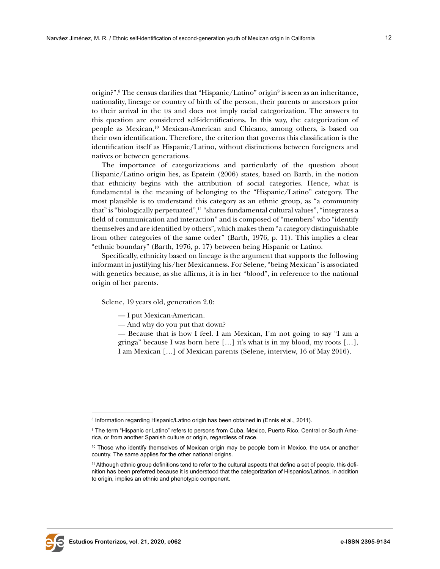origin?".<sup>8</sup> The census clarifies that "Hispanic/Latino" origin<sup>9</sup> is seen as an inheritance, nationality, lineage or country of birth of the person, their parents or ancestors prior to their arrival in the us and does not imply racial categorization. The answers to this question are considered self-identifications. In this way, the categorization of people as Mexican,10 Mexican-American and Chicano, among others, is based on their own identification. Therefore, the criterion that governs this classification is the identification itself as Hispanic/Latino, without distinctions between foreigners and natives or between generations.

The importance of categorizations and particularly of the question about Hispanic/Latino origin lies, as Epstein (2006) states, based on Barth, in the notion that ethnicity begins with the attribution of social categories. Hence, what is fundamental is the meaning of belonging to the "Hispanic/Latino" category. The most plausible is to understand this category as an ethnic group, as "a community that" is "biologically perpetuated",11 "shares fundamental cultural values", "integrates a field of communication and interaction" and is composed of "members" who "identify themselves and are identified by others", which makes them "a category distinguishable from other categories of the same order" (Barth, 1976, p. 11). This implies a clear "ethnic boundary" (Barth, 1976, p. 17) between being Hispanic or Latino.

Specifically, ethnicity based on lineage is the argument that supports the following informant in justifying his/her Mexicanness. For Selene, "being Mexican" is associated with genetics because, as she affirms, it is in her "blood", in reference to the national origin of her parents.

Selene, 19 years old, generation 2.0:

- I put Mexican-American.
- And why do you put that down?

— Because that is how I feel. I am Mexican, I'm not going to say "I am a gringa" because I was born here […] it's what is in my blood, my roots […], I am Mexican […] of Mexican parents (Selene, interview, 16 of May 2016).



 $^{\text{\tiny{\textregistered}}}$  Information regarding Hispanic/Latino origin has been obtained in (Ennis et al., 2011).

<sup>9</sup> The term "Hispanic or Latino" refers to persons from Cuba, Mexico, Puerto Rico, Central or South America, or from another Spanish culture or origin, regardless of race.

<sup>&</sup>lt;sup>10</sup> Those who identify themselves of Mexican origin may be people born in Mexico, the usa or another country. The same applies for the other national origins.

<sup>11</sup> Although ethnic group definitions tend to refer to the cultural aspects that define a set of people, this definition has been preferred because it is understood that the categorization of Hispanics/Latinos, in addition to origin, implies an ethnic and phenotypic component.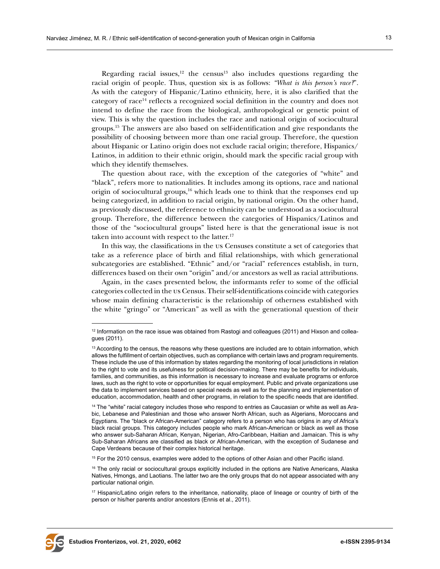Regarding racial issues, $12$  the census  $13$  also includes questions regarding the racial origin of people. Thus, question six is as follows: *"What is this person's race?*". As with the category of Hispanic/Latino ethnicity, here, it is also clarified that the category of race14 reflects a recognized social definition in the country and does not intend to define the race from the biological, anthropological or genetic point of view. This is why the question includes the race and national origin of sociocultural groups.15 The answers are also based on self-identification and give respondants the possibility of choosing between more than one racial group. Therefore, the question about Hispanic or Latino origin does not exclude racial origin; therefore, Hispanics/ Latinos, in addition to their ethnic origin, should mark the specific racial group with which they identify themselves.

The question about race, with the exception of the categories of "white" and "black", refers more to nationalities. It includes among its options, race and national origin of sociocultural groups, $16$  which leads one to think that the responses end up being categorized, in addition to racial origin, by national origin. On the other hand, as previously discussed, the reference to ethnicity can be understood as a sociocultural group. Therefore, the difference between the categories of Hispanics/Latinos and those of the "sociocultural groups" listed here is that the generational issue is not taken into account with respect to the latter.<sup>17</sup>

In this way, the classifications in the us Censuses constitute a set of categories that take as a reference place of birth and filial relationships, with which generational subcategories are established. "Ethnic" and/or "racial" references establish, in turn, differences based on their own "origin" and/or ancestors as well as racial attributions.

Again, in the cases presented below, the informants refer to some of the official categories collected in the us Census. Their self-identifications coincide with categories whose main defining characteristic is the relationship of otherness established with the white "gringo" or "American" as well as with the generational question of their



 $12$  Information on the race issue was obtained from Rastogi and colleagues (2011) and Hixson and colleagues (2011).

<sup>&</sup>lt;sup>13</sup> According to the census, the reasons why these questions are included are to obtain information, which allows the fulfillment of certain objectives, such as compliance with certain laws and program requirements. These include the use of this information by states regarding the monitoring of local jurisdictions in relation to the right to vote and its usefulness for political decision-making. There may be benefits for individuals, families, and communities, as this information is necessary to increase and evaluate programs or enforce laws, such as the right to vote or opportunities for equal employment. Public and private organizations use the data to implement services based on special needs as well as for the planning and implementation of education, accommodation, health and other programs, in relation to the specific needs that are identified.

<sup>&</sup>lt;sup>14</sup> The "white" racial category includes those who respond to entries as Caucasian or white as well as Arabic, Lebanese and Palestinian and those who answer North African, such as Algerians, Moroccans and Egyptians. The "black or African-American" category refers to a person who has origins in any of Africa's black racial groups. This category includes people who mark African-American or black as well as those who answer sub-Saharan African, Kenyan, Nigerian, Afro-Caribbean, Haitian and Jamaican. This is why Sub-Saharan Africans are classified as black or African-American, with the exception of Sudanese and Cape Verdeans because of their complex historical heritage.

<sup>&</sup>lt;sup>15</sup> For the 2010 census, examples were added to the options of other Asian and other Pacific island.

<sup>&</sup>lt;sup>16</sup> The only racial or sociocultural groups explicitly included in the options are Native Americans, Alaska Natives, Hmongs, and Laotians. The latter two are the only groups that do not appear associated with any particular national origin.

<sup>17</sup> Hispanic/Latino origin refers to the inheritance, nationality, place of lineage or country of birth of the person or his/her parents and/or ancestors (Ennis et al., 2011).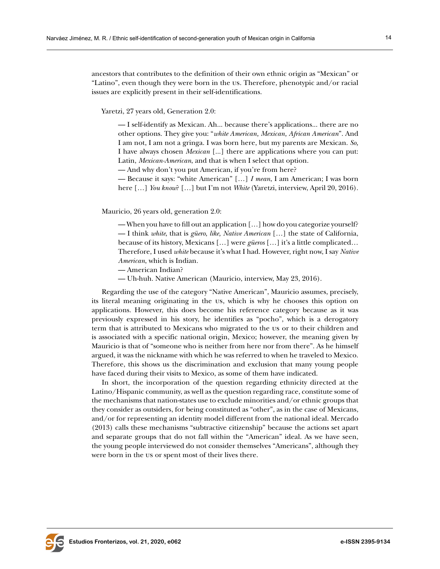ancestors that contributes to the definition of their own ethnic origin as "Mexican" or "Latino", even though they were born in the us. Therefore, phenotypic and/or racial issues are explicitly present in their self-identifications.

Yaretzi, 27 years old, Generation 2.0:

— I self-identify as Mexican. Ah... because there's applications... there are no other options. They give you: "*white American, Mexican, African American*". And I am not, I am not a gringa. I was born here, but my parents are Mexican. *So,*  I have always chosen *Mexican* [...] there are applications where you can put: Latin, *Mexican-American*, and that is when I select that option.

— And why don't you put American, if you're from here?

— Because it says: "white American" […] *I mean*, I am American; I was born here […] *You know*? […] but I'm not *White* (Yaretzi, interview, April 20, 2016).

Mauricio, 26 years old, generation 2.0:

— When you have to fill out an application […] how do you categorize yourself? — I think *white*, that is *güero*, *like, Native American* […] the state of California, because of its history, Mexicans […] were *güeros* […] it's a little complicated… Therefore, I used *white* because it's what I had. However, right now, I say *Native American*, which is Indian.

- American Indian?
- Uh-huh. Native American (Mauricio, interview, May 23, 2016).

Regarding the use of the category "Native American", Mauricio assumes, precisely, its literal meaning originating in the us, which is why he chooses this option on applications. However, this does become his reference category because as it was previously expressed in his story, he identifies as "pocho", which is a derogatory term that is attributed to Mexicans who migrated to the us or to their children and is associated with a specific national origin, Mexico; however, the meaning given by Mauricio is that of "someone who is neither from here nor from there". As he himself argued, it was the nickname with which he was referred to when he traveled to Mexico. Therefore, this shows us the discrimination and exclusion that many young people have faced during their visits to Mexico, as some of them have indicated.

In short, the incorporation of the question regarding ethnicity directed at the Latino/Hispanic community, as well as the question regarding race, constitute some of the mechanisms that nation-states use to exclude minorities and/or ethnic groups that they consider as outsiders, for being constituted as "other", as in the case of Mexicans, and/or for representing an identity model different from the national ideal. Mercado (2013) calls these mechanisms "subtractive citizenship" because the actions set apart and separate groups that do not fall within the "American" ideal. As we have seen, the young people interviewed do not consider themselves "Americans", although they were born in the us or spent most of their lives there.

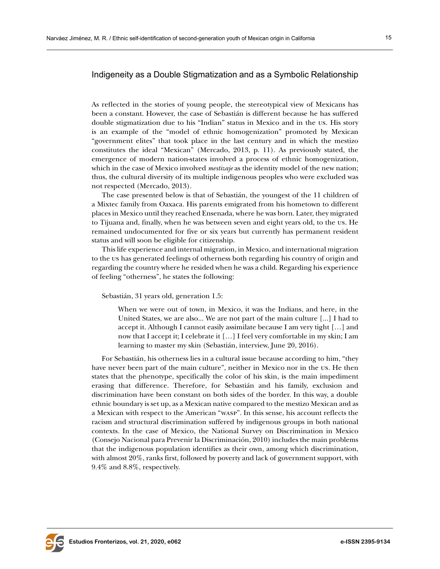## Indigeneity as a Double Stigmatization and as a Symbolic Relationship

As reflected in the stories of young people, the stereotypical view of Mexicans has been a constant. However, the case of Sebastián is different because he has suffered double stigmatization due to his "Indian" status in Mexico and in the us. His story is an example of the "model of ethnic homogenization" promoted by Mexican "government elites" that took place in the last century and in which the mestizo constitutes the ideal "Mexican" (Mercado, 2013, p. 11). As previously stated, the emergence of modern nation-states involved a process of ethnic homogenization, which in the case of Mexico involved *mestizaje* as the identity model of the new nation; thus, the cultural diversity of its multiple indigenous peoples who were excluded was not respected (Mercado, 2013).

The case presented below is that of Sebastián, the youngest of the 11 children of a Mixtec family from Oaxaca. His parents emigrated from his hometown to different places in Mexico until they reached Ensenada, where he was born. Later, they migrated to Tijuana and, finally, when he was between seven and eight years old, to the us. He remained undocumented for five or six years but currently has permanent resident status and will soon be eligible for citizenship.

This life experience and internal migration, in Mexico, and international migration to the us has generated feelings of otherness both regarding his country of origin and regarding the country where he resided when he was a child. Regarding his experience of feeling "otherness", he states the following:

Sebastián, 31 years old, generation 1.5:

When we were out of town, in Mexico, it was the Indians, and here, in the United States, we are also... We are not part of the main culture [...] I had to accept it. Although I cannot easily assimilate because I am very tight […] and now that I accept it; I celebrate it […] I feel very comfortable in my skin; I am learning to master my skin (Sebastián, interview, June 20, 2016).

For Sebastián, his otherness lies in a cultural issue because according to him, "they have never been part of the main culture", neither in Mexico nor in the us. He then states that the phenotype, specifically the color of his skin, is the main impediment erasing that difference. Therefore, for Sebastián and his family, exclusion and discrimination have been constant on both sides of the border. In this way, a double ethnic boundary is set up, as a Mexican native compared to the mestizo Mexican and as a Mexican with respect to the American "wasp". In this sense, his account reflects the racism and structural discrimination suffered by indigenous groups in both national contexts. In the case of Mexico, the National Survey on Discrimination in Mexico (Consejo Nacional para Prevenir la Discriminación, 2010) includes the main problems that the indigenous population identifies as their own, among which discrimination, with almost 20%, ranks first, followed by poverty and lack of government support, with 9.4% and 8.8%, respectively.

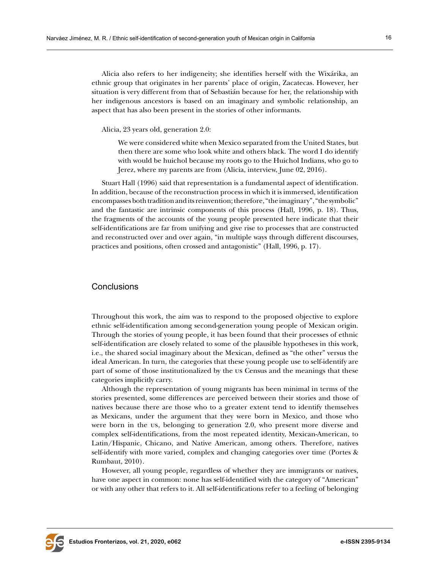Alicia also refers to her indigeneity; she identifies herself with the Wixárika, an ethnic group that originates in her parents' place of origin, Zacatecas. However, her situation is very different from that of Sebastián because for her, the relationship with her indigenous ancestors is based on an imaginary and symbolic relationship, an aspect that has also been present in the stories of other informants.

Alicia, 23 years old, generation 2.0:

We were considered white when Mexico separated from the United States, but then there are some who look white and others black. The word I do identify with would be huichol because my roots go to the Huichol Indians, who go to Jerez, where my parents are from (Alicia, interview, June 02, 2016).

Stuart Hall (1996) said that representation is a fundamental aspect of identification. In addition, because of the reconstruction process in which it is immersed, identification encompasses both tradition and its reinvention; therefore, "the imaginary", "the symbolic" and the fantastic are intrinsic components of this process (Hall, 1996, p. 18). Thus, the fragments of the accounts of the young people presented here indicate that their self-identifications are far from unifying and give rise to processes that are constructed and reconstructed over and over again, "in multiple ways through different discourses, practices and positions, often crossed and antagonistic" (Hall, 1996, p. 17).

#### Conclusions

Throughout this work, the aim was to respond to the proposed objective to explore ethnic self-identification among second-generation young people of Mexican origin. Through the stories of young people, it has been found that their processes of ethnic self-identification are closely related to some of the plausible hypotheses in this work, i.e., the shared social imaginary about the Mexican, defined as "the other" versus the ideal American. In turn, the categories that these young people use to self-identify are part of some of those institutionalized by the us Census and the meanings that these categories implicitly carry.

Although the representation of young migrants has been minimal in terms of the stories presented, some differences are perceived between their stories and those of natives because there are those who to a greater extent tend to identify themselves as Mexicans, under the argument that they were born in Mexico, and those who were born in the us, belonging to generation 2.0, who present more diverse and complex self-identifications, from the most repeated identity, Mexican-American, to Latin/Hispanic, Chicano, and Native American, among others. Therefore, natives self-identify with more varied, complex and changing categories over time (Portes & Rumbaut, 2010).

However, all young people, regardless of whether they are immigrants or natives, have one aspect in common: none has self-identified with the category of "American" or with any other that refers to it. All self-identifications refer to a feeling of belonging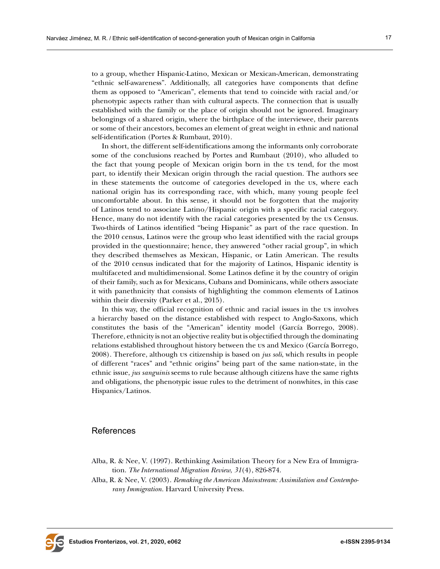to a group, whether Hispanic-Latino, Mexican or Mexican-American, demonstrating "ethnic self-awareness". Additionally, all categories have components that define them as opposed to "American", elements that tend to coincide with racial and/or phenotypic aspects rather than with cultural aspects. The connection that is usually established with the family or the place of origin should not be ignored. Imaginary belongings of a shared origin, where the birthplace of the interviewee, their parents or some of their ancestors, becomes an element of great weight in ethnic and national self-identification (Portes & Rumbaut, 2010).

In short, the different self-identifications among the informants only corroborate some of the conclusions reached by Portes and Rumbaut (2010), who alluded to the fact that young people of Mexican origin born in the us tend, for the most part, to identify their Mexican origin through the racial question. The authors see in these statements the outcome of categories developed in the us, where each national origin has its corresponding race, with which, many young people feel uncomfortable about. In this sense, it should not be forgotten that the majority of Latinos tend to associate Latino/Hispanic origin with a specific racial category. Hence, many do not identify with the racial categories presented by the us Census. Two-thirds of Latinos identified "being Hispanic" as part of the race question. In the 2010 census, Latinos were the group who least identified with the racial groups provided in the questionnaire; hence, they answered "other racial group", in which they described themselves as Mexican, Hispanic, or Latin American. The results of the 2010 census indicated that for the majority of Latinos, Hispanic identity is multifaceted and multidimensional. Some Latinos define it by the country of origin of their family, such as for Mexicans, Cubans and Dominicans, while others associate it with panethnicity that consists of highlighting the common elements of Latinos within their diversity (Parker et al., 2015).

In this way, the official recognition of ethnic and racial issues in the us involves a hierarchy based on the distance established with respect to Anglo-Saxons, which constitutes the basis of the "American" identity model (García Borrego, 2008). Therefore, ethnicity is not an objective reality but is objectified through the dominating relations established throughout history between the us and Mexico (García Borrego, 2008). Therefore, although us citizenship is based on *jus soli*, which results in people of different "races" and "ethnic origins" being part of the same nation-state, in the ethnic issue, *jus sanguinis* seems to rule because although citizens have the same rights and obligations, the phenotypic issue rules to the detriment of nonwhites, in this case Hispanics/Latinos.

#### References

- Alba, R. & Nee, V. (1997). Rethinking Assimilation Theory for a New Era of Immigration. *The International Migration Review*, *31*(4), 826-874.
- Alba, R. & Nee, V. (2003). *Remaking the American Mainstream: Assimilation and Contemporany Immigration.* Harvard University Press.

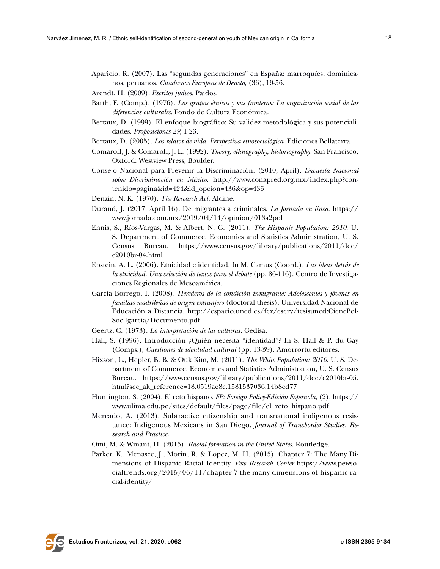- Aparicio, R. (2007). Las "segundas generaciones" en España: marroquíes, dominicanos, peruanos. *Cuadernos Europeos de Deusto*, (36), 19-56.
- Arendt, H. (2009). *Escritos judíos*. Paidós.
- Barth, F. (Comp.). (1976). *Los grupos étnicos y sus fronteras: La organización social de las diferencias culturales*. Fondo de Cultura Económica.
- Bertaux, D. (1999). El enfoque biográfico: Su validez metodológica y sus potencialidades. *Proposiciones 29*, 1-23.
- Bertaux, D. (2005). *Los relatos de vida. Perspectiva etnosociológica*. Ediciones Bellaterra.
- Comaroff, J. & Comaroff, J. L. (1992). *Theory, ethnography, historiography*. San Francisco, Oxford: Westview Press, Boulder.
- Consejo Nacional para Prevenir la Discriminación. (2010, April). *Encuesta Nacional sobre Discriminación en México*. [http://www.conapred.org.mx/index.php?con](http://www.conapred.org.mx/index.php?contenido=pagina&id=424&id_opcion=436&op=436)[tenido=pagina&id=424&id\\_opcion=436&op=436](http://www.conapred.org.mx/index.php?contenido=pagina&id=424&id_opcion=436&op=436)
- Denzin, N. K. (1970). *The Research Act.* Aldine.
- Durand, J. (2017, April 16). De migrantes a criminales. *La Jornada en línea*. [https://](https://www.jornada.com.mx/2019/04/14/opinion/013a2pol) [www.jornada.com.mx/2019/04/14/opinion/013a2pol](https://www.jornada.com.mx/2019/04/14/opinion/013a2pol)
- Ennis, S., Ríos-Vargas, M. & Albert, N. G. (2011). *The Hispanic Population: 2010*. U. S. Department of Commerce, Economics and Statistics Administration, U. S. Census Bureau. [https://www.census.gov/library/publications/2011/dec/](https://www.census.gov/library/publications/2011/dec/c2010br-04.html) [c2010br-04.html](https://www.census.gov/library/publications/2011/dec/c2010br-04.html)
- Epstein, A. L. (2006). Etnicidad e identidad. In M. Camus (Coord.)*, Las ideas detrás de la etnicidad. Una selección de textos para el debate* (pp. 86-116). Centro de Investigaciones Regionales de Mesoamérica.
- García Borrego, I. (2008). *Herederos de la condición inmigrante: Adolescentes y jóvenes en familias madrileñas de origen extranjero* (doctoral thesis). Universidad Nacional de Educación a Distancia. [http://espacio.uned.es/fez/eserv/tesisuned:CiencPol-](http://espacio.uned.es/fez/eserv/tesisuned:CiencPolSoc-Igarcia/Documento.pdf)[Soc-Igarcia/Documento.pdf](http://espacio.uned.es/fez/eserv/tesisuned:CiencPolSoc-Igarcia/Documento.pdf)
- Geertz, C. (1973). *La interpretación de las culturas.* Gedisa.
- Hall, S. (1996). Introducción ¿Quién necesita "identidad"? In S. Hall & P. du Gay (Comps.), *Cuestiones de identidad cultural* (pp. 13-39). Amorrortu editores.
- Hixson, L., Hepler, B. B. & Ouk Kim, M. (2011). *The White Population: 2010*. U. S. Department of Commerce, Economics and Statistics Administration, U. S. Census Bureau. [https://www.census.gov/library/publications/2011/dec/c2010br-05.](https://www.census.gov/library/publications/2011/dec/c2010br-05.html?sec_ak_reference=18.0519ae8c.1581537036.14b8cd77) [html?sec\\_ak\\_reference=18.0519ae8c.1581537036.14b8cd77](https://www.census.gov/library/publications/2011/dec/c2010br-05.html?sec_ak_reference=18.0519ae8c.1581537036.14b8cd77)
- Huntington, S. (2004). El reto hispano. *FP: Foreign Policy-Edición Española*, (2). [https://](https://www.ulima.edu.pe/sites/default/files/page/file/el_reto_hispano.pdf) [www.ulima.edu.pe/sites/default/files/page/file/el\\_reto\\_hispano.pdf](https://www.ulima.edu.pe/sites/default/files/page/file/el_reto_hispano.pdf)
- Mercado, A. (2013). Subtractive citizenship and transnational indigenous resistance: Indigenous Mexicans in San Diego. *Journal of Transborder Studies. Research and Practice*.
- Omi, M. & Winant, H. (2015). *Racial formation in the United States*. Routledge.
- Parker, K., Menasce, J., Morin, R. & Lopez, M. H. (2015). Chapter 7: The Many Dimensions of Hispanic Racial Identity. *Pew Research Center* [https://www.pewso](https://www.pewsocialtrends.org/2015/06/11/chapter-7-the-many-dimensions-of-hispanic-racial-identity/)[cialtrends.org/2015/06/11/chapter-7-the-many-dimensions-of-hispanic-ra](https://www.pewsocialtrends.org/2015/06/11/chapter-7-the-many-dimensions-of-hispanic-racial-identity/)[cial-identity/](https://www.pewsocialtrends.org/2015/06/11/chapter-7-the-many-dimensions-of-hispanic-racial-identity/)

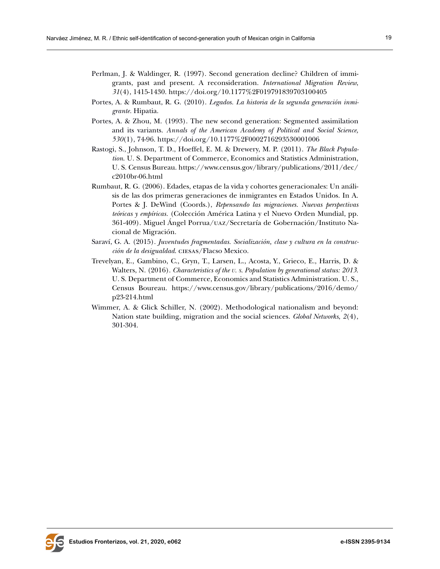- Perlman, J. & Waldinger, R. (1997). Second generation decline? Children of immigrants, past and present. A reconsideration. *International Migration Review*, *31*(4), 1415-1430. <https://doi.org/10.1177%2F019791839703100405>
- Portes, A. & Rumbaut, R. G. (2010). *Legados. La historia de la segunda generación inmigrante.* Hipatia.
- Portes, A. & Zhou, M. (1993). The new second generation: Segmented assimilation and its variants. *Annals of the American Academy of Political and Social Science, 530*(1), 74-96. [https://doi.org/10.1177%2F0002716293530001006](https://doi.org/10.1177%2F0002716293530001006 )
- Rastogi, S., Johnson, T. D., Hoeffel, E. M. & Drewery, M. P. (2011). *The Black Population*. U. S. Department of Commerce, Economics and Statistics Administration, U. S. Census Bureau. [https://www.census.gov/library/publications/2011/dec/](https://www.census.gov/library/publications/2011/dec/c2010br-06.html) [c2010br-06.html](https://www.census.gov/library/publications/2011/dec/c2010br-06.html)
- Rumbaut, R. G. (2006). Edades, etapas de la vida y cohortes generacionales: Un análisis de las dos primeras generaciones de inmigrantes en Estados Unidos. In A. Portes & J. DeWind (Coords.), *Repensando las migraciones. Nuevas perspectivas teóricas y empíricas.* (Colección América Latina y el Nuevo Orden Mundial, pp. 361-409). Miguel Ángel Porrua/uaz/Secretaría de Gobernación/Instituto Nacional de Migración.
- Saraví, G. A. (2015). *Juventudes fragmentadas. Socialización, clase y cultura en la construcción de la desigualdad*. ciesas/Flacso Mexico.
- Trevelyan, E., Gambino, C., Gryn, T., Larsen, L., Acosta, Y., Grieco, E., Harris, D. & Walters, N. (2016). *Characteristics of the u. s. Population by generational status: 2013*. U. S. Department of Commerce, Economics and Statistics Administration. U. S., Census Boureau. [https://www.census.gov/library/publications/2016/demo/](https://www.census.gov/library/publications/2016/demo/p23-214.html) [p23-214.html](https://www.census.gov/library/publications/2016/demo/p23-214.html)
- Wimmer, A. & Glick Schiller, N. (2002). Methodological nationalism and beyond: Nation state building, migration and the social sciences. *Global Networks*, *2*(4), 301-304.